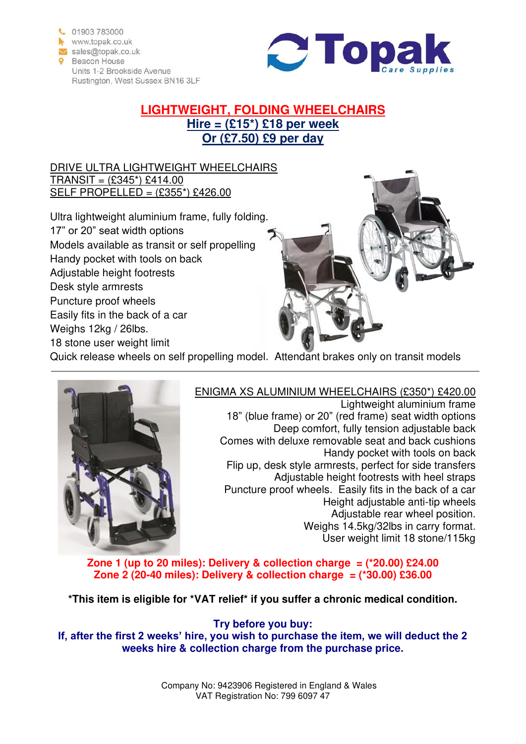



# **LIGHTWEIGHT, FOLDING WHEELCHAIRS Hire = (£15\*) £18 per week Or (£7.50) £9 per day**

#### DRIVE ULTRA LIGHTWEIGHT WHEELCHAIRS  $TRANSIT = (£345*) £414.00$ SELF PROPELLED = (£355\*) £426.00

Ultra lightweight aluminium frame, fully folding. 17" or 20" seat width options Models available as transit or self propelling Handy pocket with tools on back Adjustable height footrests Desk style armrests Puncture proof wheels Easily fits in the back of a car Weighs 12kg / 26lbs. 18 stone user weight limit



Quick release wheels on self propelling model. Attendant brakes only on transit models



## ENIGMA XS ALUMINIUM WHEELCHAIRS (£350\*) £420.00

Lightweight aluminium frame 18" (blue frame) or 20" (red frame) seat width options Deep comfort, fully tension adjustable back Comes with deluxe removable seat and back cushions Handy pocket with tools on back Flip up, desk style armrests, perfect for side transfers Adjustable height footrests with heel straps Puncture proof wheels. Easily fits in the back of a car Height adjustable anti-tip wheels Adjustable rear wheel position. Weighs 14.5kg/32lbs in carry format. User weight limit 18 stone/115kg

**Zone 1 (up to 20 miles): Delivery & collection charge = (\*20.00) £24.00 Zone 2 (20-40 miles): Delivery & collection charge = (\*30.00) £36.00** 

**\*This item is eligible for \*VAT relief\* if you suffer a chronic medical condition.** 

**Try before you buy: If, after the first 2 weeks' hire, you wish to purchase the item, we will deduct the 2 weeks hire & collection charge from the purchase price.**